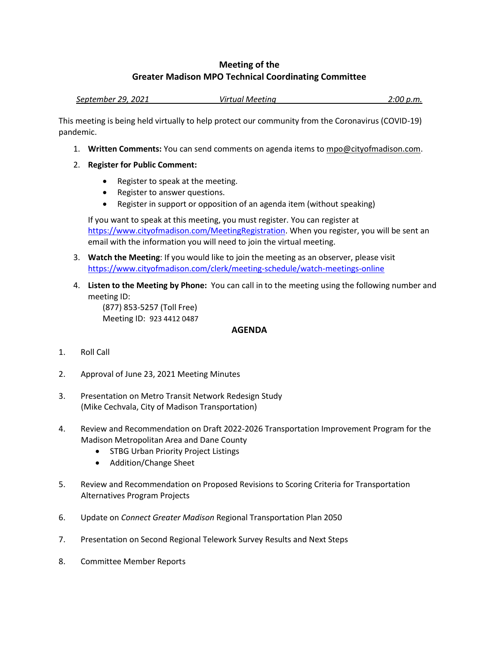## **Meeting of the Greater Madison MPO Technical Coordinating Committee**

*September 29, 2021 Virtual Meeting 2:00 p.m.*

This meeting is being held virtually to help protect our community from the Coronavirus (COVID-19) pandemic.

- 1. **Written Comments:** You can send comments on agenda items to mpo@cityofmadison.com.
- 2. **Register for Public Comment:**
	- Register to speak at the meeting.
	- Register to answer questions.
	- Register in support or opposition of an agenda item (without speaking)

If you want to speak at this meeting, you must register. You can register at [https://www.cityofmadison.com/MeetingRegistration.](https://www.cityofmadison.com/MeetingRegistration) When you register, you will be sent an email with the information you will need to join the virtual meeting.

- 3. **Watch the Meeting**: If you would like to join the meeting as an observer, please visit <https://www.cityofmadison.com/clerk/meeting-schedule/watch-meetings-online>
- 4. **Listen to the Meeting by Phone:** You can call in to the meeting using the following number and meeting ID:

(877) 853-5257 (Toll Free) Meeting ID: 923 4412 0487

## **AGENDA**

- 1. Roll Call
- 2. Approval of June 23, 2021 Meeting Minutes
- 3. Presentation on Metro Transit Network Redesign Study (Mike Cechvala, City of Madison Transportation)
- 4. Review and Recommendation on Draft 2022-2026 Transportation Improvement Program for the Madison Metropolitan Area and Dane County
	- STBG Urban Priority Project Listings
	- Addition/Change Sheet
- 5. Review and Recommendation on Proposed Revisions to Scoring Criteria for Transportation Alternatives Program Projects
- 6. Update on *Connect Greater Madison* Regional Transportation Plan 2050
- 7. Presentation on Second Regional Telework Survey Results and Next Steps
- 8. Committee Member Reports